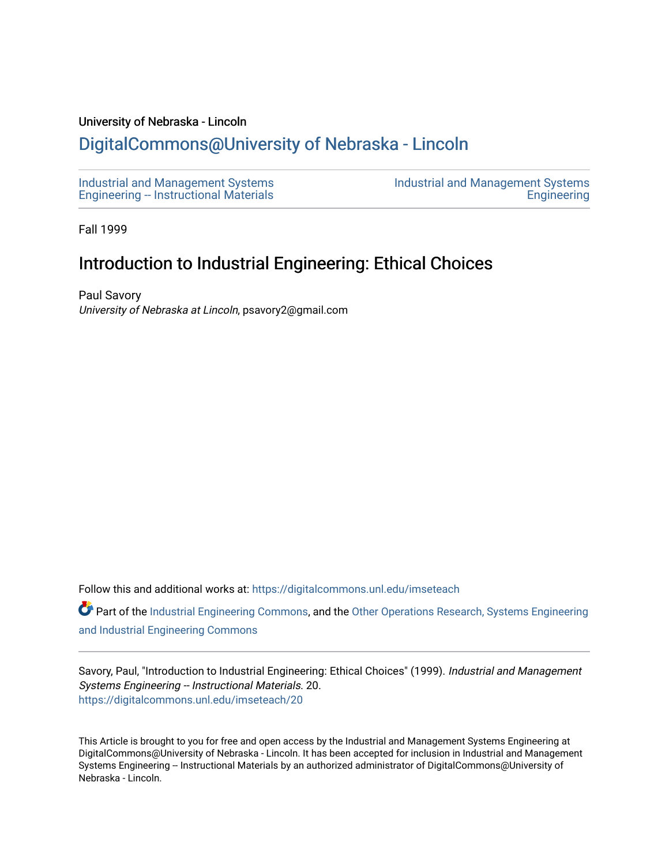#### University of Nebraska - Lincoln

# [DigitalCommons@University of Nebraska - Lincoln](https://digitalcommons.unl.edu/)

[Industrial and Management Systems](https://digitalcommons.unl.edu/imseteach)  [Engineering -- Instructional Materials](https://digitalcommons.unl.edu/imseteach)  [Industrial and Management Systems](https://digitalcommons.unl.edu/imse)  **Engineering** 

Fall 1999

# Introduction to Industrial Engineering: Ethical Choices

Paul Savory University of Nebraska at Lincoln, psavory2@gmail.com

Follow this and additional works at: [https://digitalcommons.unl.edu/imseteach](https://digitalcommons.unl.edu/imseteach?utm_source=digitalcommons.unl.edu%2Fimseteach%2F20&utm_medium=PDF&utm_campaign=PDFCoverPages) 

Part of the [Industrial Engineering Commons](http://network.bepress.com/hgg/discipline/307?utm_source=digitalcommons.unl.edu%2Fimseteach%2F20&utm_medium=PDF&utm_campaign=PDFCoverPages), and the Other Operations Research, Systems Engineering [and Industrial Engineering Commons](http://network.bepress.com/hgg/discipline/310?utm_source=digitalcommons.unl.edu%2Fimseteach%2F20&utm_medium=PDF&utm_campaign=PDFCoverPages) 

Savory, Paul, "Introduction to Industrial Engineering: Ethical Choices" (1999). Industrial and Management Systems Engineering -- Instructional Materials. 20. [https://digitalcommons.unl.edu/imseteach/20](https://digitalcommons.unl.edu/imseteach/20?utm_source=digitalcommons.unl.edu%2Fimseteach%2F20&utm_medium=PDF&utm_campaign=PDFCoverPages)

This Article is brought to you for free and open access by the Industrial and Management Systems Engineering at DigitalCommons@University of Nebraska - Lincoln. It has been accepted for inclusion in Industrial and Management Systems Engineering -- Instructional Materials by an authorized administrator of DigitalCommons@University of Nebraska - Lincoln.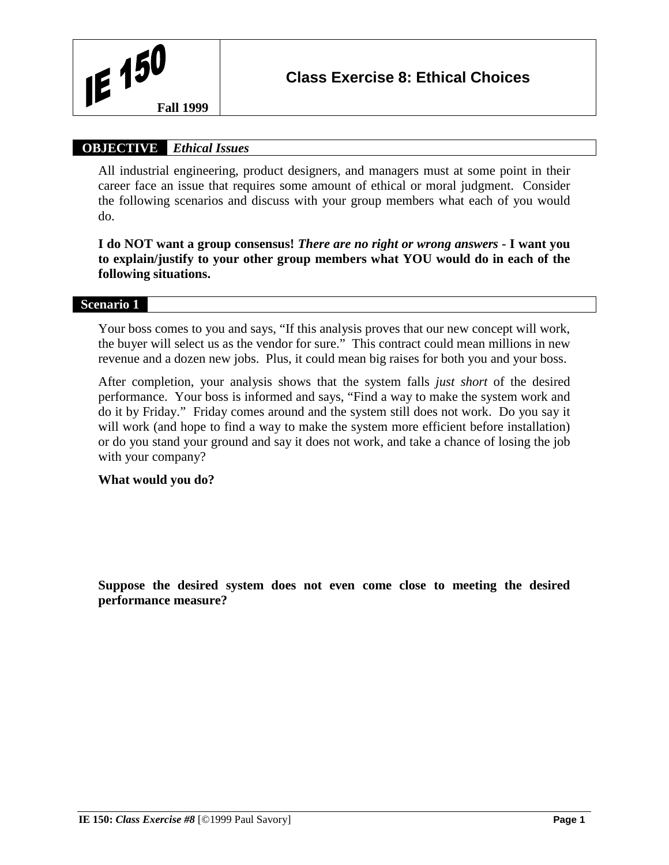

# **OBJECTIVE** *Ethical Issues*

All industrial engineering, product designers, and managers must at some point in their career face an issue that requires some amount of ethical or moral judgment. Consider the following scenarios and discuss with your group members what each of you would do.

**I do NOT want a group consensus!** *There are no right or wrong answers* **- I want you to explain/justify to your other group members what YOU would do in each of the following situations.**

### **Scenario 1**

Your boss comes to you and says, "If this analysis proves that our new concept will work, the buyer will select us as the vendor for sure." This contract could mean millions in new revenue and a dozen new jobs. Plus, it could mean big raises for both you and your boss.

After completion, your analysis shows that the system falls *just short* of the desired performance. Your boss is informed and says, "Find a way to make the system work and do it by Friday." Friday comes around and the system still does not work. Do you say it will work (and hope to find a way to make the system more efficient before installation) or do you stand your ground and say it does not work, and take a chance of losing the job with your company?

## **What would you do?**

**Suppose the desired system does not even come close to meeting the desired performance measure?**